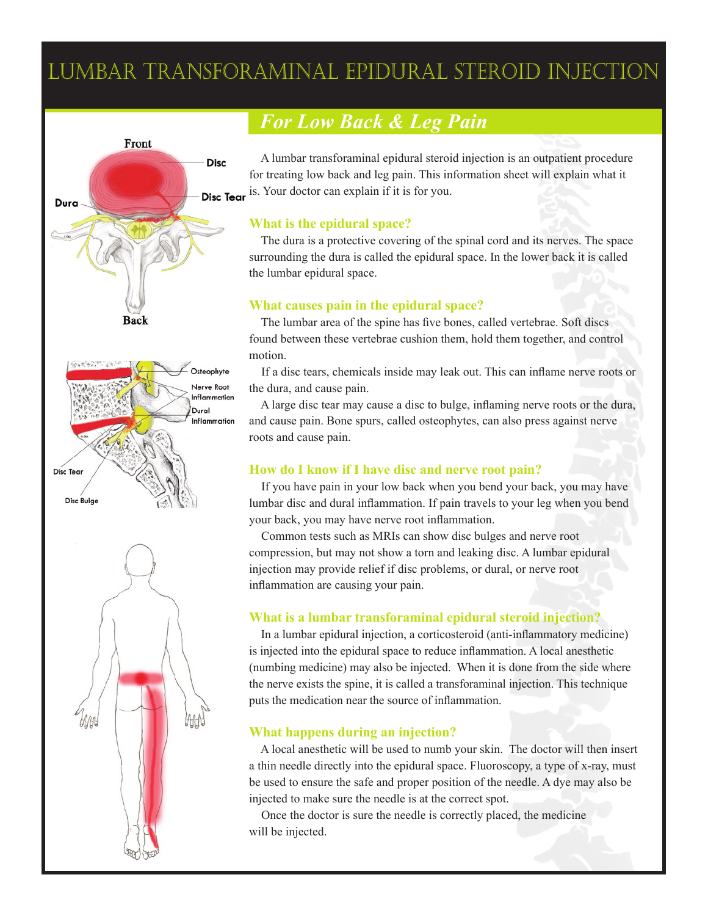# Lumbar Transforaminal Epidural Steroid Injection



## *For Low Back & Leg Pain*

 A lumbar transforaminal epidural steroid injection is an outpatient procedure for treating low back and leg pain. This information sheet will explain what it Disc Tear is. Your doctor can explain if it is for you.

#### **What is the epidural space?**

 The dura is a protective covering of the spinal cord and its nerves. The space surrounding the dura is called the epidural space. In the lower back it is called the lumbar epidural space.

#### **What causes pain in the epidural space?**

 The lumbar area of the spine has five bones, called vertebrae. Soft discs found between these vertebrae cushion them, hold them together, and control motion.

 If a disc tears, chemicals inside may leak out. This can inflame nerve roots or the dura, and cause pain.

 A large disc tear may cause a disc to bulge, inflaming nerve roots or the dura, and cause pain. Bone spurs, called osteophytes, can also press against nerve roots and cause pain.

#### **How do I know if I have disc and nerve root pain?**

 If you have pain in your low back when you bend your back, you may have lumbar disc and dural inflammation. If pain travels to your leg when you bend your back, you may have nerve root inflammation.

 Common tests such as MRIs can show disc bulges and nerve root compression, but may not show a torn and leaking disc. A lumbar epidural injection may provide relief if disc problems, or dural, or nerve root inflammation are causing your pain.

### **What is a lumbar transforaminal epidural steroid injection?**

 In a lumbar epidural injection, a corticosteroid (anti-inflammatory medicine) is injected into the epidural space to reduce inflammation. A local anesthetic (numbing medicine) may also be injected. When it is done from the side where the nerve exists the spine, it is called a transforaminal injection. This technique puts the medication near the source of inflammation.

### **What happens during an injection?**

 A local anesthetic will be used to numb your skin. The doctor will then insert a thin needle directly into the epidural space. Fluoroscopy, a type of x-ray, must be used to ensure the safe and proper position of the needle. A dye may also be injected to make sure the needle is at the correct spot.

 Once the doctor is sure the needle is correctly placed, the medicine will be injected.